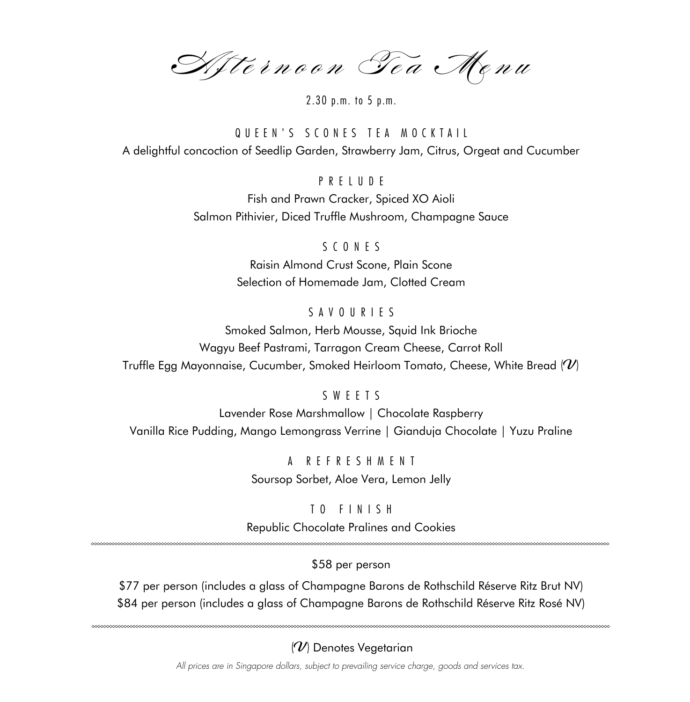Afternoon Tea Menu

2.30 p.m. to 5 p.m.

QUEEN'S SCONES TEA MOCKTAIL A delightful concoction of Seedlip Garden, Strawberry Jam, Citrus, Orgeat and Cucumber

PRELUDE

Fish and Prawn Cracker, Spiced XO Aioli Salmon Pithivier, Diced Truffle Mushroom, Champagne Sauce

SCONES

Raisin Almond Crust Scone, Plain Scone Selection of Homemade Jam, Clotted Cream

# SAVOURIES

Smoked Salmon, Herb Mousse, Squid Ink Brioche Wagyu Beef Pastrami, Tarragon Cream Cheese, Carrot Roll Truffle Egg Mayonnaise, Cucumber, Smoked Heirloom Tomato, Cheese, White Bread  $\langle v \rangle$ 

# SWEETS

Lavender Rose Marshmallow | Chocolate Raspberry Vanilla Rice Pudding, Mango Lemongrass Verrine | Gianduja Chocolate | Yuzu Praline

> A REFRESHMENT Soursop Sorbet, Aloe Vera, Lemon Jelly

TO FINISH Republic Chocolate Pralines and Cookies

\$58 per person

\$77 per person (includes a glass of Champagne Barons de Rothschild Réserve Ritz Brut NV) \$84 per person (includes a glass of Champagne Barons de Rothschild Réserve Ritz Rosé NV)

# $(\mathcal{U})$  Denotes Vegetarian

*All prices are in Singapore dollars, subject to prevailing service charge, goods and services tax.*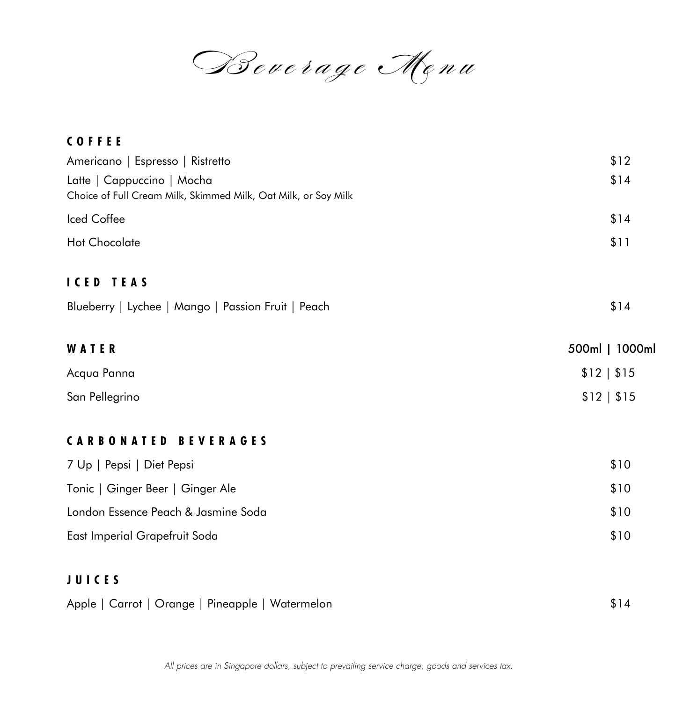Beverage Menu

| <b>COFFEE</b>                                                                                |                |
|----------------------------------------------------------------------------------------------|----------------|
| Americano   Espresso   Ristretto                                                             | \$12           |
| Latte   Cappuccino   Mocha<br>Choice of Full Cream Milk, Skimmed Milk, Oat Milk, or Soy Milk | \$14           |
| Iced Coffee                                                                                  | \$14           |
| Hot Chocolate                                                                                | \$11           |
| <b>ICED TEAS</b>                                                                             |                |
| Blueberry   Lychee   Mango   Passion Fruit   Peach                                           | \$14           |
| WATER                                                                                        | 500ml   1000ml |
| Acqua Panna                                                                                  | \$12   \$15    |
| San Pellegrino                                                                               | \$12   \$15    |
| <b>CARBONATED BEVERAGES</b>                                                                  |                |
| 7 Up   Pepsi   Diet Pepsi                                                                    | \$10           |
| Tonic   Ginger Beer   Ginger Ale                                                             | \$10           |
| London Essence Peach & Jasmine Soda                                                          | \$10           |
| East Imperial Grapefruit Soda                                                                | \$10           |
| <b>JUICES</b>                                                                                |                |
| Apple   Carrot   Orange   Pineapple   Watermelon                                             | \$14           |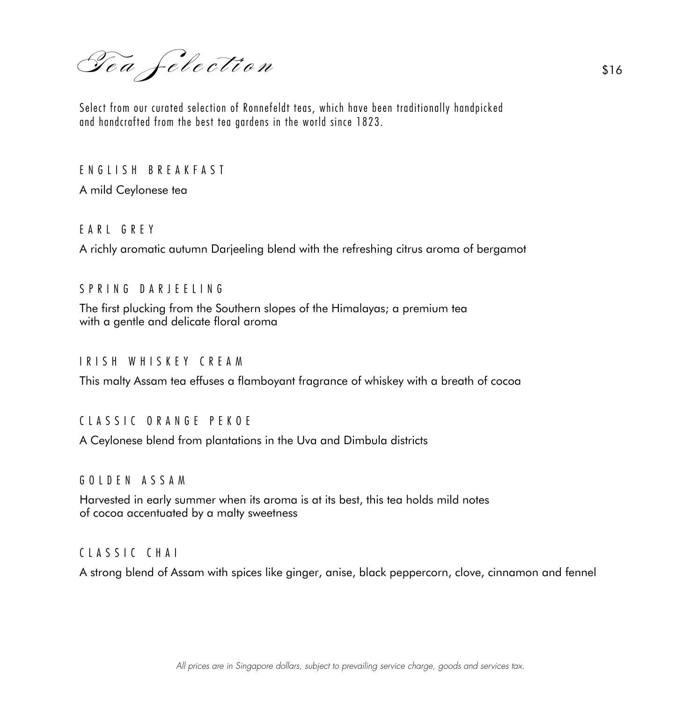Tea felection \$16

Select from our curated selection of Ronnefeldt teas, which have been traditionally handpicked and handcrafted from the best tea gardens in the world since 1823.

ENGLISH BREAKFAST

A mild Ceylonese tea

# EARL GREY

A richly aromatic autumn Darjeeling blend with the refreshing citrus aroma of bergamot

## SPRING DARJEELING

The first plucking from the Southern slopes of the Himalayas; a premium tea with a gentle and delicate floral aroma

## IRISH WHISKEY CREAM

This malty Assam tea effuses a flamboyant fragrance of whiskey with a breath of cocoa

## CLASSIC ORANGE PEKOE

A Ceylonese blend from plantations in the Uva and Dimbula districts

#### GOLDEN ASSAM

Harvested in early summer when its aroma is at its best, this tea holds mild notes of cocoa accentuated by a malty sweetness

## CLASSIC CHAI

A strong blend of Assam with spices like ginger, anise, black peppercorn, clove, cinnamon and fennel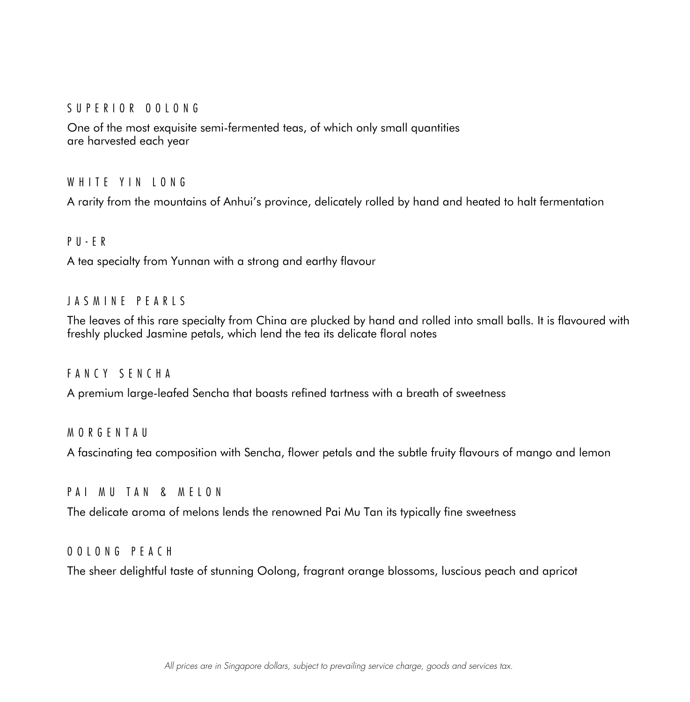## SUPERIOR OOLONG

One of the most exquisite semi-fermented teas, of which only small quantities are harvested each year

## WHITE YIN IONG

A rarity from the mountains of Anhui's province, delicately rolled by hand and heated to halt fermentation

## PU-ER

A tea specialty from Yunnan with a strong and earthy flavour

## JASMINE PEARLS

The leaves of this rare specialty from China are plucked by hand and rolled into small balls. It is flavoured with freshly plucked Jasmine petals, which lend the tea its delicate floral notes

## FANCY SENCHA

A premium large-leafed Sencha that boasts refined tartness with a breath of sweetness

## **MORGENTAU**

A fascinating tea composition with Sencha, flower petals and the subtle fruity flavours of mango and lemon

## PAI MU TAN & MELON

The delicate aroma of melons lends the renowned Pai Mu Tan its typically fine sweetness

## OOLONG PEACH

The sheer delightful taste of stunning Oolong, fragrant orange blossoms, luscious peach and apricot